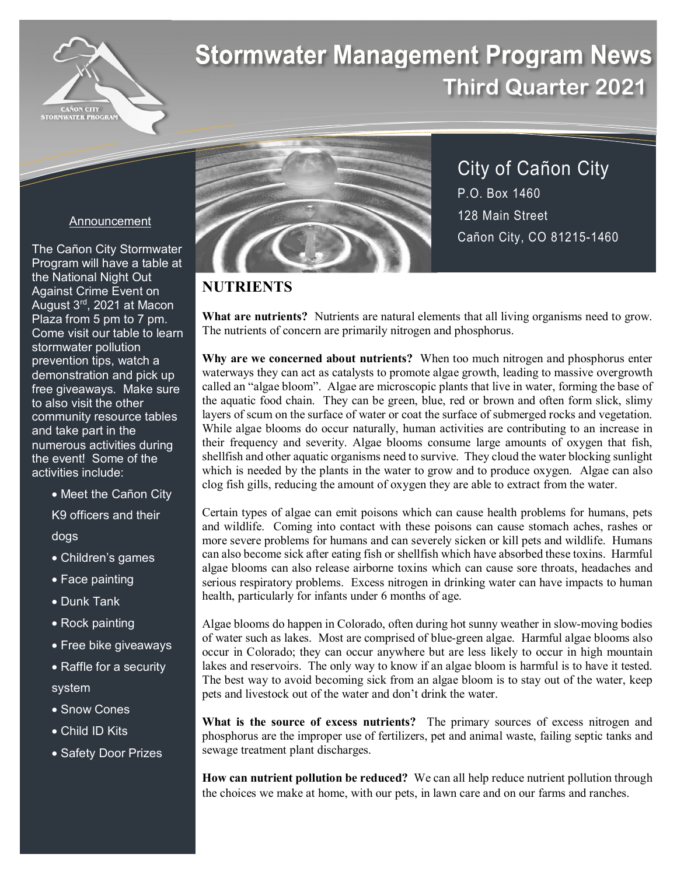

# **Stormwater Management Program News Third Quarter 2021**

#### Announcement

The Cañon City Stormwater Program will have a table at the National Night Out Against Crime Event on August 3rd, 2021 at Macon Plaza from 5 pm to 7 pm. Come visit our table to learn stormwater pollution prevention tips, watch a demonstration and pick up free giveaways. Make sure to also visit the other community resource tables and take part in the numerous activities during the event! Some of the activities include:

• Meet the Cañon City

K9 officers and their dogs

- Children's games
- Face painting
- Dunk Tank
- Rock painting
- Free bike giveaways
- Raffle for a security system
- Snow Cones
- Child ID Kits
- Safety Door Prizes



## City of Cañon City P.O. Box 1460 128 Main Street Cañon City, CO 81215-1460

### **NUTRIENTS**

**What are nutrients?** Nutrients are natural elements that all living organisms need to grow. The nutrients of concern are primarily nitrogen and phosphorus.

**Why are we concerned about nutrients?** When too much nitrogen and phosphorus enter waterways they can act as catalysts to promote algae growth, leading to massive overgrowth called an "algae bloom". Algae are microscopic plants that live in water, forming the base of the aquatic food chain. They can be green, blue, red or brown and often form slick, slimy layers of scum on the surface of water or coat the surface of submerged rocks and vegetation. While algae blooms do occur naturally, human activities are contributing to an increase in their frequency and severity. Algae blooms consume large amounts of oxygen that fish, shellfish and other aquatic organisms need to survive. They cloud the water blocking sunlight which is needed by the plants in the water to grow and to produce oxygen. Algae can also clog fish gills, reducing the amount of oxygen they are able to extract from the water.

Certain types of algae can emit poisons which can cause health problems for humans, pets and wildlife. Coming into contact with these poisons can cause stomach aches, rashes or more severe problems for humans and can severely sicken or kill pets and wildlife. Humans can also become sick after eating fish or shellfish which have absorbed these toxins. Harmful algae blooms can also release airborne toxins which can cause sore throats, headaches and serious respiratory problems. Excess nitrogen in drinking water can have impacts to human health, particularly for infants under 6 months of age.

Algae blooms do happen in Colorado, often during hot sunny weather in slow-moving bodies of water such as lakes. Most are comprised of blue-green algae. Harmful algae blooms also occur in Colorado; they can occur anywhere but are less likely to occur in high mountain lakes and reservoirs. The only way to know if an algae bloom is harmful is to have it tested. The best way to avoid becoming sick from an algae bloom is to stay out of the water, keep pets and livestock out of the water and don't drink the water.

**What is the source of excess nutrients?** The primary sources of excess nitrogen and phosphorus are the improper use of fertilizers, pet and animal waste, failing septic tanks and sewage treatment plant discharges.

**How can nutrient pollution be reduced?** We can all help reduce nutrient pollution through the choices we make at home, with our pets, in lawn care and on our farms and ranches.